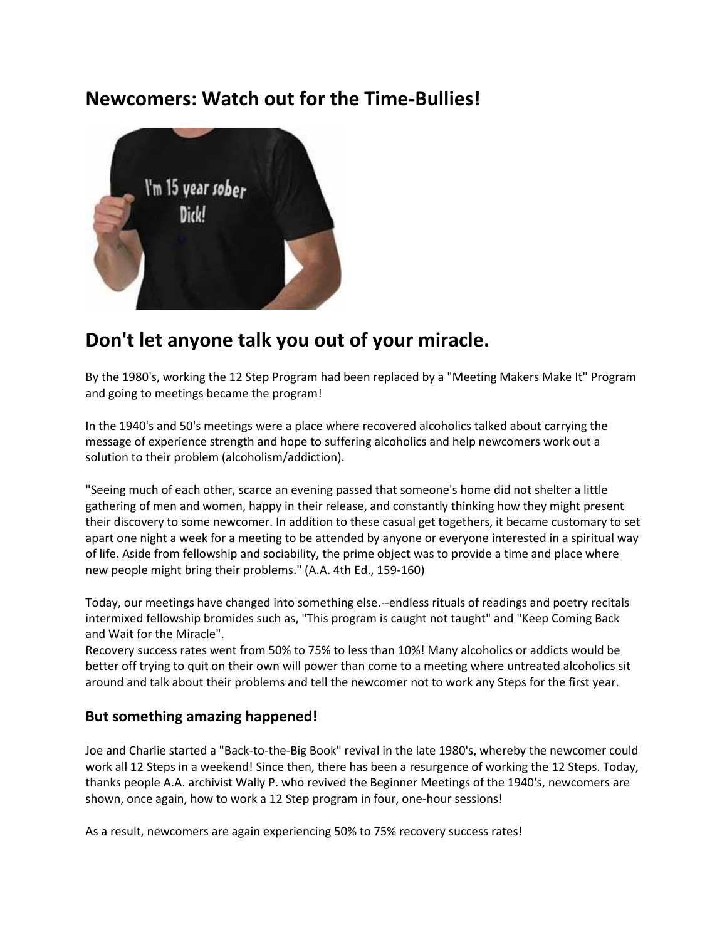## **Newcomers: Watch out for the Time-Bullies!**



# **Don't let anyone talk you out of your miracle.**

By the 1980's, working the 12 Step Program had been replaced by a "Meeting Makers Make It" Program and going to meetings became the program!

In the 1940's and 50's meetings were a place where recovered alcoholics talked about carrying the message of experience strength and hope to suffering alcoholics and help newcomers work out a solution to their problem (alcoholism/addiction).

"Seeing much of each other, scarce an evening passed that someone's home did not shelter a little gathering of men and women, happy in their release, and constantly thinking how they might present their discovery to some newcomer. In addition to these casual get togethers, it became customary to set apart one night a week for a meeting to be attended by anyone or everyone interested in a spiritual way of life. Aside from fellowship and sociability, the prime object was to provide a time and place where new people might bring their problems." (A.A. 4th Ed., 159-160)

Today, our meetings have changed into something else.--endless rituals of readings and poetry recitals intermixed fellowship bromides such as, "This program is caught not taught" and "Keep Coming Back and Wait for the Miracle".

Recovery success rates went from 50% to 75% to less than 10%! Many alcoholics or addicts would be better off trying to quit on their own will power than come to a meeting where untreated alcoholics sit around and talk about their problems and tell the newcomer not to work any Steps for the first year.

#### **But something amazing happened!**

Joe and Charlie started a "Back-to-the-Big Book" revival in the late 1980's, whereby the newcomer could work all 12 Steps in a weekend! Since then, there has been a resurgence of working the 12 Steps. Today, thanks people A.A. archivist Wally P. who revived the Beginner Meetings of the 1940's, newcomers are shown, once again, how to work a 12 Step program in four, one-hour sessions!

As a result, newcomers are again experiencing 50% to 75% recovery success rates!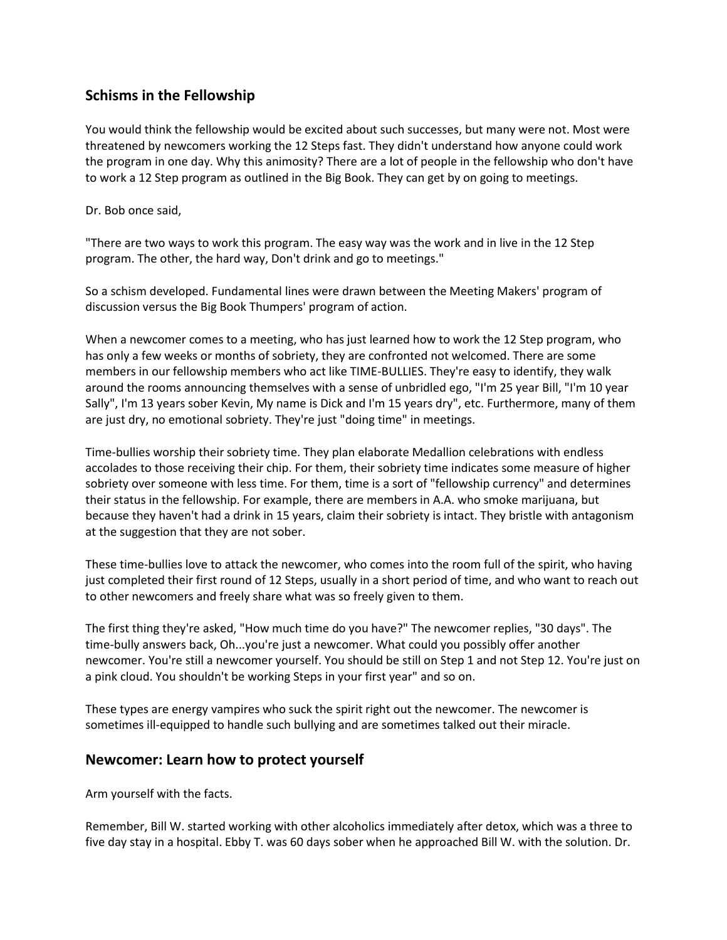### **Schisms in the Fellowship**

You would think the fellowship would be excited about such successes, but many were not. Most were threatened by newcomers working the 12 Steps fast. They didn't understand how anyone could work the program in one day. Why this animosity? There are a lot of people in the fellowship who don't have to work a 12 Step program as outlined in the Big Book. They can get by on going to meetings.

Dr. Bob once said,

"There are two ways to work this program. The easy way was the work and in live in the 12 Step program. The other, the hard way, Don't drink and go to meetings."

So a schism developed. Fundamental lines were drawn between the Meeting Makers' program of discussion versus the Big Book Thumpers' program of action.

When a newcomer comes to a meeting, who has just learned how to work the 12 Step program, who has only a few weeks or months of sobriety, they are confronted not welcomed. There are some members in our fellowship members who act like TIME-BULLIES. They're easy to identify, they walk around the rooms announcing themselves with a sense of unbridled ego, "I'm 25 year Bill, "I'm 10 year Sally", I'm 13 years sober Kevin, My name is Dick and I'm 15 years dry", etc. Furthermore, many of them are just dry, no emotional sobriety. They're just "doing time" in meetings.

Time-bullies worship their sobriety time. They plan elaborate Medallion celebrations with endless accolades to those receiving their chip. For them, their sobriety time indicates some measure of higher sobriety over someone with less time. For them, time is a sort of "fellowship currency" and determines their status in the fellowship. For example, there are members in A.A. who smoke marijuana, but because they haven't had a drink in 15 years, claim their sobriety is intact. They bristle with antagonism at the suggestion that they are not sober.

These time-bullies love to attack the newcomer, who comes into the room full of the spirit, who having just completed their first round of 12 Steps, usually in a short period of time, and who want to reach out to other newcomers and freely share what was so freely given to them.

The first thing they're asked, "How much time do you have?" The newcomer replies, "30 days". The time-bully answers back, Oh...you're just a newcomer. What could you possibly offer another newcomer. You're still a newcomer yourself. You should be still on Step 1 and not Step 12. You're just on a pink cloud. You shouldn't be working Steps in your first year" and so on.

These types are energy vampires who suck the spirit right out the newcomer. The newcomer is sometimes ill-equipped to handle such bullying and are sometimes talked out their miracle.

#### **Newcomer: Learn how to protect yourself**

Arm yourself with the facts.

Remember, Bill W. started working with other alcoholics immediately after detox, which was a three to five day stay in a hospital. Ebby T. was 60 days sober when he approached Bill W. with the solution. Dr.